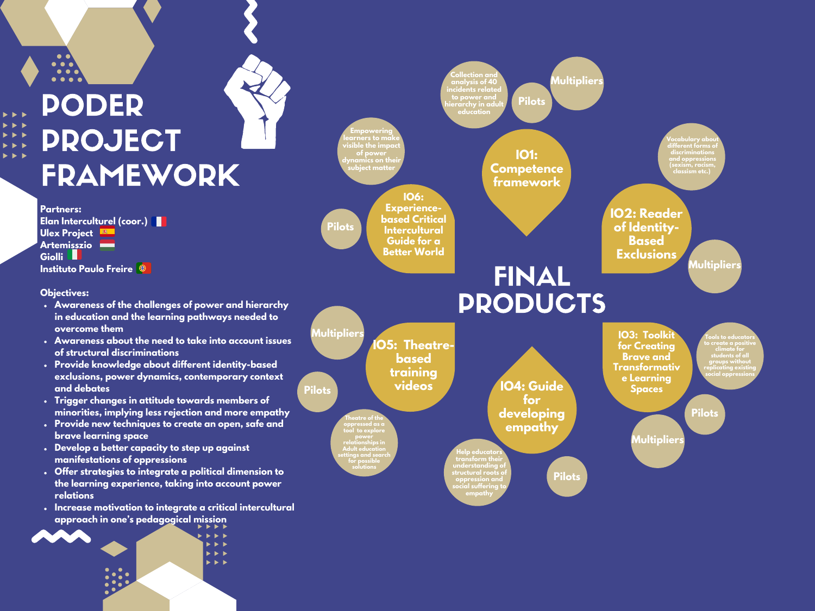